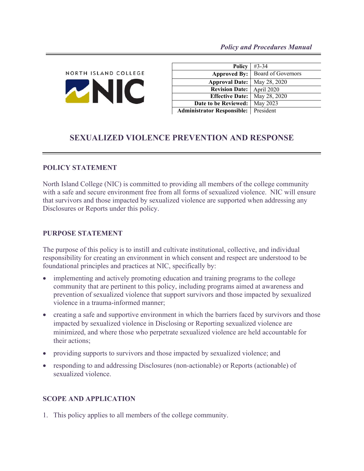

| <b>Policy</b>                     | $#3 - 34$          |
|-----------------------------------|--------------------|
| <b>Approved By:</b>               | Board of Governors |
| <b>Approval Date:</b>             | May 28, 2020       |
| <b>Revision Date:</b>             | April 2020         |
| <b>Effective Date:</b>            | May 28, 2020       |
| Date to be Reviewed:              | May 2023           |
| <b>Administrator Responsible:</b> | President          |

# **SEXUALIZED VIOLENCE PREVENTION AND RESPONSE**

#### **POLICY STATEMENT**

North Island College (NIC) is committed to providing all members of the college community with a safe and secure environment free from all forms of sexualized violence. NIC will ensure that survivors and those impacted by sexualized violence are supported when addressing any Disclosures or Reports under this policy.

#### **PURPOSE STATEMENT**

The purpose of this policy is to instill and cultivate institutional, collective, and individual responsibility for creating an environment in which consent and respect are understood to be foundational principles and practices at NIC, specifically by:

- implementing and actively promoting education and training programs to the college community that are pertinent to this policy, including programs aimed at awareness and prevention of sexualized violence that support survivors and those impacted by sexualized violence in a trauma-informed manner;
- creating a safe and supportive environment in which the barriers faced by survivors and those impacted by sexualized violence in Disclosing or Reporting sexualized violence are minimized, and where those who perpetrate sexualized violence are held accountable for their actions;
- providing supports to survivors and those impacted by sexualized violence; and
- responding to and addressing Disclosures (non-actionable) or Reports (actionable) of sexualized violence.

#### **SCOPE AND APPLICATION**

1. This policy applies to all members of the college community.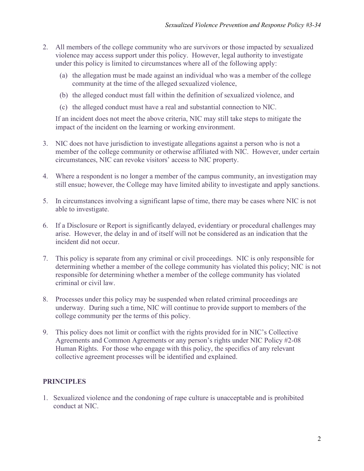- 2. All members of the college community who are survivors or those impacted by sexualized violence may access support under this policy. However, legal authority to investigate under this policy is limited to circumstances where all of the following apply:
	- (a) the allegation must be made against an individual who was a member of the college community at the time of the alleged sexualized violence,
	- (b) the alleged conduct must fall within the definition of sexualized violence, and
	- (c) the alleged conduct must have a real and substantial connection to NIC.

If an incident does not meet the above criteria, NIC may still take steps to mitigate the impact of the incident on the learning or working environment.

- 3. NIC does not have jurisdiction to investigate allegations against a person who is not a member of the college community or otherwise affiliated with NIC. However, under certain circumstances, NIC can revoke visitors' access to NIC property.
- 4. Where a respondent is no longer a member of the campus community, an investigation may still ensue; however, the College may have limited ability to investigate and apply sanctions.
- 5. In circumstances involving a significant lapse of time, there may be cases where NIC is not able to investigate.
- 6. If a Disclosure or Report is significantly delayed, evidentiary or procedural challenges may arise. However, the delay in and of itself will not be considered as an indication that the incident did not occur.
- 7. This policy is separate from any criminal or civil proceedings. NIC is only responsible for determining whether a member of the college community has violated this policy; NIC is not responsible for determining whether a member of the college community has violated criminal or civil law.
- 8. Processes under this policy may be suspended when related criminal proceedings are underway. During such a time, NIC will continue to provide support to members of the college community per the terms of this policy.
- 9. This policy does not limit or conflict with the rights provided for in NIC's Collective Agreements and Common Agreements or any person's rights under NIC Policy #2-08 Human Rights. For those who engage with this policy, the specifics of any relevant collective agreement processes will be identified and explained.

#### **PRINCIPLES**

1. Sexualized violence and the condoning of rape culture is unacceptable and is prohibited conduct at NIC.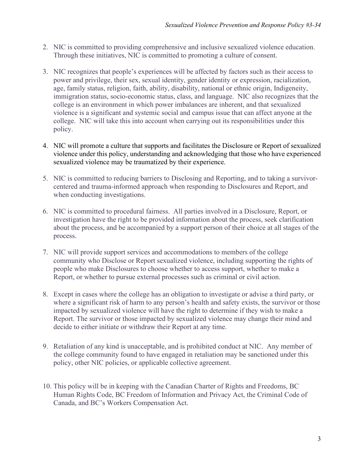- 2. NIC is committed to providing comprehensive and inclusive sexualized violence education. Through these initiatives, NIC is committed to promoting a culture of consent.
- 3. NIC recognizes that people's experiences will be affected by factors such as their access to power and privilege, their sex, sexual identity, gender identity or expression, racialization, age, family status, religion, faith, ability, disability, national or ethnic origin, Indigeneity, immigration status, socio-economic status, class, and language. NIC also recognizes that the college is an environment in which power imbalances are inherent, and that sexualized violence is a significant and systemic social and campus issue that can affect anyone at the college. NIC will take this into account when carrying out its responsibilities under this policy.
- 4. NIC will promote a culture that supports and facilitates the Disclosure or Report of sexualized violence under this policy, understanding and acknowledging that those who have experienced sexualized violence may be traumatized by their experience.
- 5. NIC is committed to reducing barriers to Disclosing and Reporting, and to taking a survivorcentered and trauma-informed approach when responding to Disclosures and Report, and when conducting investigations.
- 6. NIC is committed to procedural fairness. All parties involved in a Disclosure, Report, or investigation have the right to be provided information about the process, seek clarification about the process, and be accompanied by a support person of their choice at all stages of the process.
- 7. NIC will provide support services and accommodations to members of the college community who Disclose or Report sexualized violence, including supporting the rights of people who make Disclosures to choose whether to access support, whether to make a Report, or whether to pursue external processes such as criminal or civil action.
- 8. Except in cases where the college has an obligation to investigate or advise a third party, or where a significant risk of harm to any person's health and safety exists, the survivor or those impacted by sexualized violence will have the right to determine if they wish to make a Report. The survivor or those impacted by sexualized violence may change their mind and decide to either initiate or withdraw their Report at any time.
- 9. Retaliation of any kind is unacceptable, and is prohibited conduct at NIC. Any member of the college community found to have engaged in retaliation may be sanctioned under this policy, other NIC policies, or applicable collective agreement.
- 10. This policy will be in keeping with the Canadian Charter of Rights and Freedoms, BC Human Rights Code, BC Freedom of Information and Privacy Act, the Criminal Code of Canada, and BC's Workers Compensation Act.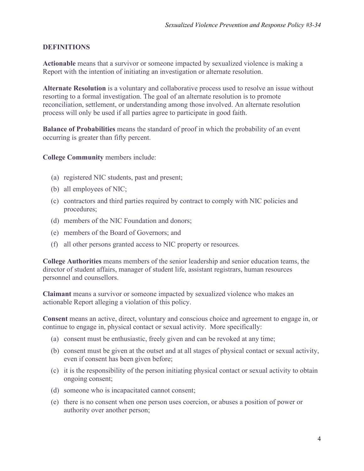#### **DEFINITIONS**

**Actionable** means that a survivor or someone impacted by sexualized violence is making a Report with the intention of initiating an investigation or alternate resolution.

**Alternate Resolution** is a voluntary and collaborative process used to resolve an issue without resorting to a formal investigation. The goal of an alternate resolution is to promote reconciliation, settlement, or understanding among those involved. An alternate resolution process will only be used if all parties agree to participate in good faith.

**Balance of Probabilities** means the standard of proof in which the probability of an event occurring is greater than fifty percent.

**College Community** members include:

- (a) registered NIC students, past and present;
- (b) all employees of NIC;
- (c) contractors and third parties required by contract to comply with NIC policies and procedures;
- (d) members of the NIC Foundation and donors;
- (e) members of the Board of Governors; and
- (f) all other persons granted access to NIC property or resources.

**College Authorities** means members of the senior leadership and senior education teams, the director of student affairs, manager of student life, assistant registrars, human resources personnel and counsellors.

**Claimant** means a survivor or someone impacted by sexualized violence who makes an actionable Report alleging a violation of this policy.

**Consent** means an active, direct, voluntary and conscious choice and agreement to engage in, or continue to engage in, physical contact or sexual activity. More specifically:

- (a) consent must be enthusiastic, freely given and can be revoked at any time;
- (b) consent must be given at the outset and at all stages of physical contact or sexual activity, even if consent has been given before;
- (c) it is the responsibility of the person initiating physical contact or sexual activity to obtain ongoing consent;
- (d) someone who is incapacitated cannot consent;
- (e) there is no consent when one person uses coercion, or abuses a position of power or authority over another person;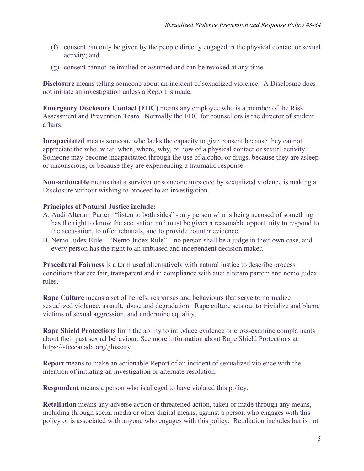- (f) consent can only be given by the people directly engaged in the physical contact or sexual activity; and
- (g) consent cannot be implied or assumed and can be revoked at any time.

**Disclosure** means telling someone about an incident of sexualized violence. A Disclosure does not initiate an investigation unless a Report is made.

**Emergency Disclosure Contact (EDC)** means any employee who is a member of the Risk Assessment and Prevention Team. Normally the EDC for counsellors is the director of student affairs.

**Incapacitated** means someone who lacks the capacity to give consent because they cannot appreciate the who, what, when, where, why, or how of a physical contact or sexual activity. Someone may become incapacitated through the use of alcohol or drugs, because they are asleep or unconscious, or because they are experiencing a traumatic response.

**Non-actionable** means that a survivor or someone impacted by sexualized violence is making a Disclosure without wishing to proceed to an investigation.

#### **Principles of Natural Justice include:**

- A. Audi Alteram Partem "listen to both sides" any person who is being accused of something has the right to know the accusation and must be given a reasonable opportunity to respond to the accusation, to offer rebuttals, and to provide counter evidence.
- B. Nemo Judex Rule "Nemo Judex Rule" no person shall be a judge in their own case, and every person has the right to an unbiased and independent decision maker.

**Procedural Fairness** is a term used alternatively with natural justice to describe process conditions that are fair, transparent and in compliance with audi alteram partem and nemo judex rules.

**Rape Culture** means a set of beliefs, responses and behaviours that serve to normalize sexualized violence, assault, abuse and degradation. Rape culture sets out to trivialize and blame victims of sexual aggression, and undermine equality.

**Rape Shield Protections** limit the ability to introduce evidence or cross-examine complainants about their past sexual behaviour. See more information about Rape Shield Protections at [https://sfcccanada.org/glossary](https://can01.safelinks.protection.outlook.com/?url=https%3A%2F%2Fsfcccanada.org%2Fglossary&data=01%7C01%7Cfelicity.blaiklock%40nic.bc.ca%7C30a5a079788440efa75108d7b01b6e65%7C7031d246343740c3b3899df41829d339%7C0&sdata=Wzcx4KoLyefsPYBhdkucm2OG%2FOQDWLDLfMzikl%2BvGtU%3D&reserved=0)

**Report** means to make an actionable Report of an incident of sexualized violence with the intention of initiating an investigation or alternate resolution.

**Respondent** means a person who is alleged to have violated this policy.

**Retaliation** means any adverse action or threatened action, taken or made through any means, including through social media or other digital means, against a person who engages with this policy or is associated with anyone who engages with this policy. Retaliation includes but is not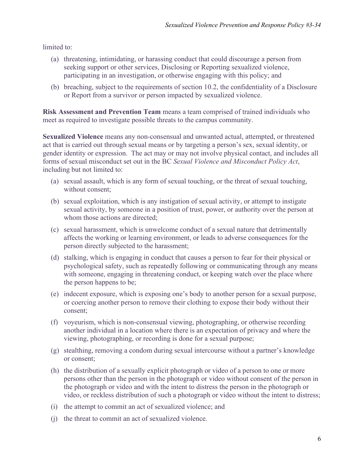limited to:

- (a) threatening, intimidating, or harassing conduct that could discourage a person from seeking support or other services, Disclosing or Reporting sexualized violence, participating in an investigation, or otherwise engaging with this policy; and
- (b) breaching, subject to the requirements of section 10.2, the confidentiality of a Disclosure or Report from a survivor or person impacted by sexualized violence.

**Risk Assessment and Prevention Team** means a team comprised of trained individuals who meet as required to investigate possible threats to the campus community.

**Sexualized Violence** means any non-consensual and unwanted actual, attempted, or threatened act that is carried out through sexual means or by targeting a person's sex, sexual identity, or gender identity or expression. The act may or may not involve physical contact, and includes all forms of sexual misconduct set out in the BC *Sexual Violence and Misconduct Policy Act*, including but not limited to:

- (a) sexual assault, which is any form of sexual touching, or the threat of sexual touching, without consent;
- (b) sexual exploitation, which is any instigation of sexual activity, or attempt to instigate sexual activity, by someone in a position of trust, power, or authority over the person at whom those actions are directed;
- (c) sexual harassment, which is unwelcome conduct of a sexual nature that detrimentally affects the working or learning environment, or leads to adverse consequences for the person directly subjected to the harassment;
- (d) stalking, which is engaging in conduct that causes a person to fear for their physical or psychological safety, such as repeatedly following or communicating through any means with someone, engaging in threatening conduct, or keeping watch over the place where the person happens to be;
- (e) indecent exposure, which is exposing one's body to another person for a sexual purpose, or coercing another person to remove their clothing to expose their body without their consent;
- (f) voyeurism, which is non-consensual viewing, photographing, or otherwise recording another individual in a location where there is an expectation of privacy and where the viewing, photographing, or recording is done for a sexual purpose;
- (g) stealthing, removing a condom during sexual intercourse without a partner's knowledge or consent;
- (h) the distribution of a sexually explicit photograph or video of a person to one or more persons other than the person in the photograph or video without consent of the person in the photograph or video and with the intent to distress the person in the photograph or video, or reckless distribution of such a photograph or video without the intent to distress;
- (i) the attempt to commit an act of sexualized violence; and
- (j) the threat to commit an act of sexualized violence.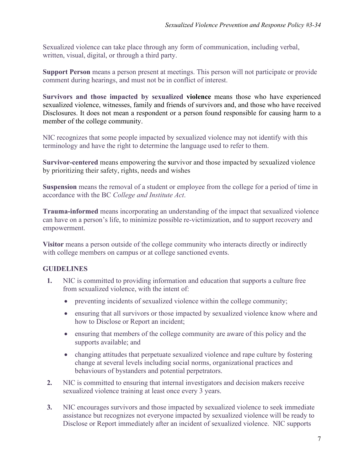Sexualized violence can take place through any form of communication, including verbal, written, visual, digital, or through a third party.

**Support Person** means a person present at meetings. This person will not participate or provide comment during hearings, and must not be in conflict of interest.

**Survivors and those impacted by sexualized violence** means those who have experienced sexualized violence, witnesses, family and friends of survivors and, and those who have received Disclosures. It does not mean a respondent or a person found responsible for causing harm to a member of the college community.

NIC recognizes that some people impacted by sexualized violence may not identify with this terminology and have the right to determine the language used to refer to them.

**Survivor-centered** means empowering the **s**urvivor and those impacted by sexualized violence by prioritizing their safety, rights, needs and wishes

**Suspension** means the removal of a student or employee from the college for a period of time in accordance with the BC *College and Institute Act*.

**Trauma-informed** means incorporating an understanding of the impact that sexualized violence can have on a person's life, to minimize possible re-victimization, and to support recovery and empowerment.

**Visitor** means a person outside of the college community who interacts directly or indirectly with college members on campus or at college sanctioned events.

## **GUIDELINES**

- **1.** NIC is committed to providing information and education that supports a culture free from sexualized violence, with the intent of:
	- preventing incidents of sexualized violence within the college community;
	- ensuring that all survivors or those impacted by sexualized violence know where and how to Disclose or Report an incident;
	- ensuring that members of the college community are aware of this policy and the supports available; and
	- changing attitudes that perpetuate sexualized violence and rape culture by fostering change at several levels including social norms, organizational practices and behaviours of bystanders and potential perpetrators.
- **2.** NIC is committed to ensuring that internal investigators and decision makers receive sexualized violence training at least once every 3 years.
- **3.** NIC encourages survivors and those impacted by sexualized violence to seek immediate assistance but recognizes not everyone impacted by sexualized violence will be ready to Disclose or Report immediately after an incident of sexualized violence. NIC supports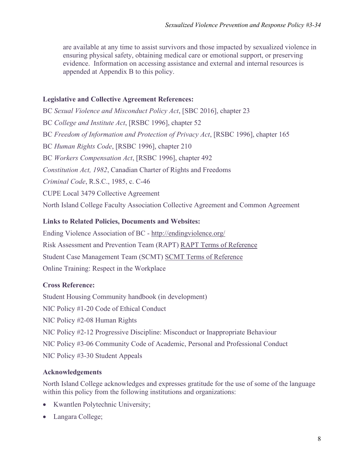are available at any time to assist survivors and those impacted by sexualized violence in ensuring physical safety, obtaining medical care or emotional support, or preserving evidence. Information on accessing assistance and external and internal resources is appended at Appendix B to this policy.

#### **Legislative and Collective Agreement References:**

BC *Sexual Violence and Misconduct Policy Act*, [SBC 2016], chapter 23 BC *College and Institute Act*, [RSBC 1996], chapter 52 BC *Freedom of Information and Protection of Privacy Act*, [RSBC 1996], chapter 165 BC *Human Rights Code*, [RSBC 1996], chapter 210 BC *Workers Compensation Act*, [RSBC 1996], chapter 492 *Constitution Act, 1982*, Canadian Charter of Rights and Freedoms *Criminal Code*, R.S.C., 1985, c. C-46 CUPE Local 3479 Collective Agreement North Island College Faculty Association Collective Agreement and Common Agreement

#### **Links to Related Policies, Documents and Websites:**

Ending Violence Association of BC - <http://endingviolence.org/> Risk Assessment and Prevention Team (RAPT) [RAPT Terms of Reference](https://mynic.nic.bc.ca/organizations/BIT/Shared%20Documents/Risk%20Assessment%20and%20PreventionTeam%20Protocols%20TOR%20Final%20January%202019.pdf) Student Case Management Team (SCMT) [SCMT Terms of Reference](https://mynic.nic.bc.ca/organizations/scmt/Shared%20Documents/Student%20Case%20Management%20Team%20TERMS%20OF%20REFERENCE%20October%202018.pdf) Online Training: Respect in the Workplace

## **Cross Reference:**

Student Housing Community handbook (in development) NIC Policy #1-20 Code of Ethical Conduct NIC Policy #2-08 Human Rights NIC Policy #2-12 Progressive Discipline: Misconduct or Inappropriate Behaviour NIC Policy #3-06 Community Code of Academic, Personal and Professional Conduct NIC Policy #3-30 Student Appeals

#### **Acknowledgements**

North Island College acknowledges and expresses gratitude for the use of some of the language within this policy from the following institutions and organizations:

- Kwantlen Polytechnic University;
- Langara College;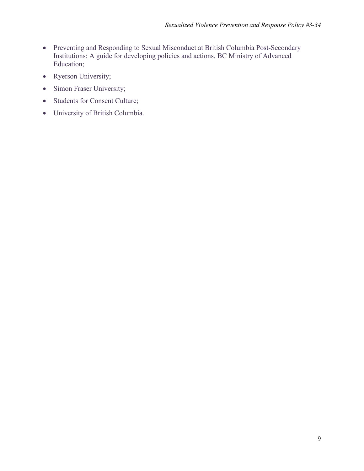- Preventing and Responding to Sexual Misconduct at British Columbia Post-Secondary Institutions: A guide for developing policies and actions, BC Ministry of Advanced Education;
- Ryerson University;
- Simon Fraser University;
- Students for Consent Culture;
- University of British Columbia.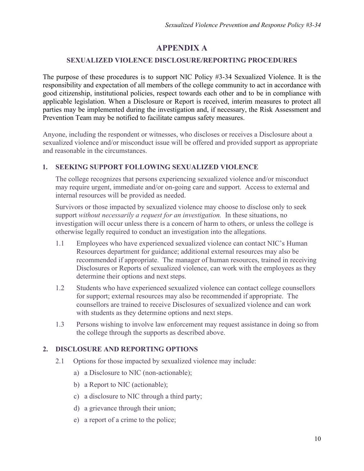# **APPENDIX A**

## **SEXUALIZED VIOLENCE DISCLOSURE/REPORTING PROCEDURES**

The purpose of these procedures is to support NIC Policy #3-34 Sexualized Violence. It is the responsibility and expectation of all members of the college community to act in accordance with good citizenship, institutional policies, respect towards each other and to be in compliance with applicable legislation. When a Disclosure or Report is received, interim measures to protect all parties may be implemented during the investigation and, if necessary, the Risk Assessment and Prevention Team may be notified to facilitate campus safety measures.

Anyone, including the respondent or witnesses, who discloses or receives a Disclosure about a sexualized violence and/or misconduct issue will be offered and provided support as appropriate and reasonable in the circumstances.

#### **1. SEEKING SUPPORT FOLLOWING SEXUALIZED VIOLENCE**

The college recognizes that persons experiencing sexualized violence and/or misconduct may require urgent, immediate and/or on-going care and support. Access to external and internal resources will be provided as needed.

Survivors or those impacted by sexualized violence may choose to disclose only to seek support *without necessarily a request for an investigation.* In these situations, no investigation will occur unless there is a concern of harm to others, or unless the college is otherwise legally required to conduct an investigation into the allegations.

- 1.1 Employees who have experienced sexualized violence can contact NIC's Human Resources department for guidance; additional external resources may also be recommended if appropriate. The manager of human resources, trained in receiving Disclosures or Reports of sexualized violence, can work with the employees as they determine their options and next steps.
- 1.2 Students who have experienced sexualized violence can contact college counsellors for support; external resources may also be recommended if appropriate. The counsellors are trained to receive Disclosures of sexualized violence and can work with students as they determine options and next steps.
- 1.3 Persons wishing to involve law enforcement may request assistance in doing so from the college through the supports as described above.

## **2. DISCLOSURE AND REPORTING OPTIONS**

- 2.1 Options for those impacted by sexualized violence may include:
	- a) a Disclosure to NIC (non-actionable);
	- b) a Report to NIC (actionable);
	- c) a disclosure to NIC through a third party;
	- d) a grievance through their union;
	- e) a report of a crime to the police;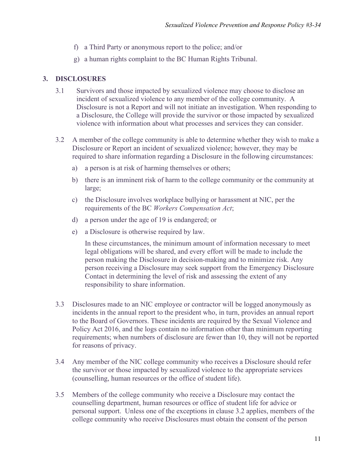- f) a Third Party or anonymous report to the police; and/or
- g) a human rights complaint to the BC Human Rights Tribunal.

### **3. DISCLOSURES**

- 3.1 Survivors and those impacted by sexualized violence may choose to disclose an incident of sexualized violence to any member of the college community. A Disclosure is not a Report and will not initiate an investigation. When responding to a Disclosure, the College will provide the survivor or those impacted by sexualized violence with information about what processes and services they can consider.
- 3.2 A member of the college community is able to determine whether they wish to make a Disclosure or Report an incident of sexualized violence; however, they may be required to share information regarding a Disclosure in the following circumstances:
	- a) a person is at risk of harming themselves or others;
	- b) there is an imminent risk of harm to the college community or the community at large;
	- c) the Disclosure involves workplace bullying or harassment at NIC, per the requirements of the BC *Workers Compensation Act*;
	- d) a person under the age of 19 is endangered; or
	- e) a Disclosure is otherwise required by law.

In these circumstances, the minimum amount of information necessary to meet legal obligations will be shared, and every effort will be made to include the person making the Disclosure in decision-making and to minimize risk. Any person receiving a Disclosure may seek support from the Emergency Disclosure Contact in determining the level of risk and assessing the extent of any responsibility to share information.

- 3.3 Disclosures made to an NIC employee or contractor will be logged anonymously as incidents in the annual report to the president who, in turn, provides an annual report to the Board of Governors. These incidents are required by the Sexual Violence and Policy Act 2016, and the logs contain no information other than minimum reporting requirements; when numbers of disclosure are fewer than 10, they will not be reported for reasons of privacy.
- 3.4 Any member of the NIC college community who receives a Disclosure should refer the survivor or those impacted by sexualized violence to the appropriate services (counselling, human resources or the office of student life).
- 3.5 Members of the college community who receive a Disclosure may contact the counselling department, human resources or office of student life for advice or personal support. Unless one of the exceptions in clause 3.2 applies, members of the college community who receive Disclosures must obtain the consent of the person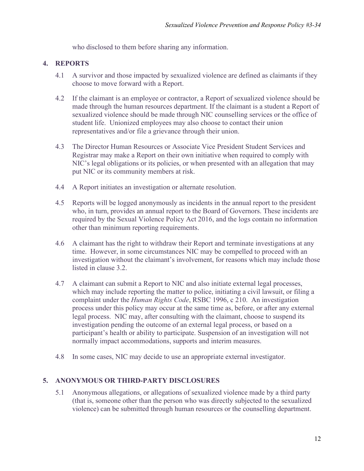who disclosed to them before sharing any information.

#### **4. REPORTS**

- 4.1 A survivor and those impacted by sexualized violence are defined as claimants if they choose to move forward with a Report.
- 4.2 If the claimant is an employee or contractor, a Report of sexualized violence should be made through the human resources department. If the claimant is a student a Report of sexualized violence should be made through NIC counselling services or the office of student life. Unionized employees may also choose to contact their union representatives and/or file a grievance through their union.
- 4.3 The Director Human Resources or Associate Vice President Student Services and Registrar may make a Report on their own initiative when required to comply with NIC's legal obligations or its policies, or when presented with an allegation that may put NIC or its community members at risk.
- 4.4 A Report initiates an investigation or alternate resolution.
- 4.5 Reports will be logged anonymously as incidents in the annual report to the president who, in turn, provides an annual report to the Board of Governors. These incidents are required by the Sexual Violence Policy Act 2016, and the logs contain no information other than minimum reporting requirements.
- 4.6 A claimant has the right to withdraw their Report and terminate investigations at any time. However, in some circumstances NIC may be compelled to proceed with an investigation without the claimant's involvement, for reasons which may include those listed in clause 3.2.
- 4.7 A claimant can submit a Report to NIC and also initiate external legal processes, which may include reporting the matter to police, initiating a civil lawsuit, or filing a complaint under the *Human Rights Code*, RSBC 1996, c 210. An investigation process under this policy may occur at the same time as, before, or after any external legal process. NIC may, after consulting with the claimant, choose to suspend its investigation pending the outcome of an external legal process, or based on a participant's health or ability to participate. Suspension of an investigation will not normally impact accommodations, supports and interim measures.
- 4.8 In some cases, NIC may decide to use an appropriate external investigator.

#### **5. ANONYMOUS OR THIRD-PARTY DISCLOSURES**

5.1 Anonymous allegations, or allegations of sexualized violence made by a third party (that is, someone other than the person who was directly subjected to the sexualized violence) can be submitted through human resources or the counselling department.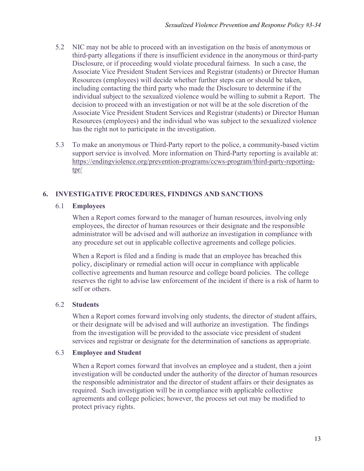- 5.2 NIC may not be able to proceed with an investigation on the basis of anonymous or third-party allegations if there is insufficient evidence in the anonymous or third-party Disclosure, or if proceeding would violate procedural fairness. In such a case, the Associate Vice President Student Services and Registrar (students) or Director Human Resources (employees) will decide whether further steps can or should be taken, including contacting the third party who made the Disclosure to determine if the individual subject to the sexualized violence would be willing to submit a Report. The decision to proceed with an investigation or not will be at the sole discretion of the Associate Vice President Student Services and Registrar (students) or Director Human Resources (employees) and the individual who was subject to the sexualized violence has the right not to participate in the investigation.
- 5.3 To make an anonymous or Third-Party report to the police, a community-based victim support service is involved. More information on Third-Party reporting is available at: [https://endingviolence.org/prevention-programs/ccws-program/third-party-reporting](https://endingviolence.org/prevention-programs/ccws-program/third-party-reporting-tpr/)[tpr/](https://endingviolence.org/prevention-programs/ccws-program/third-party-reporting-tpr/)

# **6. INVESTIGATIVE PROCEDURES, FINDINGS AND SANCTIONS**

#### 6.1 **Employees**

When a Report comes forward to the manager of human resources, involving only employees, the director of human resources or their designate and the responsible administrator will be advised and will authorize an investigation in compliance with any procedure set out in applicable collective agreements and college policies.

When a Report is filed and a finding is made that an employee has breached this policy, disciplinary or remedial action will occur in compliance with applicable collective agreements and human resource and college board policies. The college reserves the right to advise law enforcement of the incident if there is a risk of harm to self or others.

#### 6.2 **Students**

When a Report comes forward involving only students, the director of student affairs, or their designate will be advised and will authorize an investigation. The findings from the investigation will be provided to the associate vice president of student services and registrar or designate for the determination of sanctions as appropriate.

#### 6.3 **Employee and Student**

When a Report comes forward that involves an employee and a student, then a joint investigation will be conducted under the authority of the director of human resources the responsible administrator and the director of student affairs or their designates as required. Such investigation will be in compliance with applicable collective agreements and college policies; however, the process set out may be modified to protect privacy rights.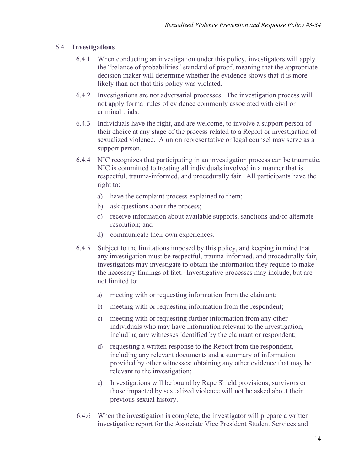#### 6.4 **Investigations**

- 6.4.1 When conducting an investigation under this policy, investigators will apply the "balance of probabilities" standard of proof, meaning that the appropriate decision maker will determine whether the evidence shows that it is more likely than not that this policy was violated.
- 6.4.2 Investigations are not adversarial processes. The investigation process will not apply formal rules of evidence commonly associated with civil or criminal trials.
- 6.4.3 Individuals have the right, and are welcome, to involve a support person of their choice at any stage of the process related to a Report or investigation of sexualized violence. A union representative or legal counsel may serve as a support person.
- 6.4.4 NIC recognizes that participating in an investigation process can be traumatic. NIC is committed to treating all individuals involved in a manner that is respectful, trauma-informed, and procedurally fair. All participants have the right to:
	- a) have the complaint process explained to them;
	- b) ask questions about the process;
	- c) receive information about available supports, sanctions and/or alternate resolution; and
	- d) communicate their own experiences.
- 6.4.5 Subject to the limitations imposed by this policy, and keeping in mind that any investigation must be respectful, trauma-informed, and procedurally fair, investigators may investigate to obtain the information they require to make the necessary findings of fact. Investigative processes may include, but are not limited to:
	- a) meeting with or requesting information from the claimant;
	- b) meeting with or requesting information from the respondent;
	- c) meeting with or requesting further information from any other individuals who may have information relevant to the investigation, including any witnesses identified by the claimant or respondent;
	- d) requesting a written response to the Report from the respondent, including any relevant documents and a summary of information provided by other witnesses; obtaining any other evidence that may be relevant to the investigation;
	- e) Investigations will be bound by Rape Shield provisions; survivors or those impacted by sexualized violence will not be asked about their previous sexual history.
- 6.4.6 When the investigation is complete, the investigator will prepare a written investigative report for the Associate Vice President Student Services and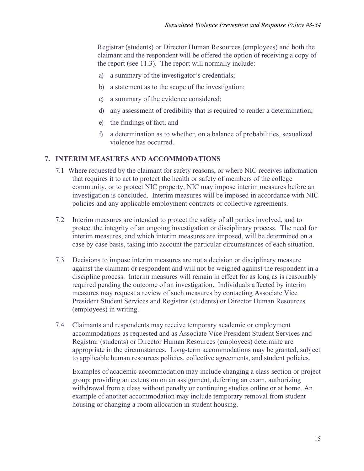Registrar (students) or Director Human Resources (employees) and both the claimant and the respondent will be offered the option of receiving a copy of the report (see 11.3). The report will normally include:

- a) a summary of the investigator's credentials;
- b) a statement as to the scope of the investigation;
- c) a summary of the evidence considered;
- d) any assessment of credibility that is required to render a determination;
- e) the findings of fact; and
- f) a determination as to whether, on a balance of probabilities, sexualized violence has occurred.

#### **7. INTERIM MEASURES AND ACCOMMODATIONS**

- 7.1 Where requested by the claimant for safety reasons, or where NIC receives information that requires it to act to protect the health or safety of members of the college community, or to protect NIC property, NIC may impose interim measures before an investigation is concluded. Interim measures will be imposed in accordance with NIC policies and any applicable employment contracts or collective agreements.
- 7.2 Interim measures are intended to protect the safety of all parties involved, and to protect the integrity of an ongoing investigation or disciplinary process. The need for interim measures, and which interim measures are imposed, will be determined on a case by case basis, taking into account the particular circumstances of each situation.
- 7.3 Decisions to impose interim measures are not a decision or disciplinary measure against the claimant or respondent and will not be weighed against the respondent in a discipline process. Interim measures will remain in effect for as long as is reasonably required pending the outcome of an investigation. Individuals affected by interim measures may request a review of such measures by contacting Associate Vice President Student Services and Registrar (students) or Director Human Resources (employees) in writing.
- 7.4 Claimants and respondents may receive temporary academic or employment accommodations as requested and as Associate Vice President Student Services and Registrar (students) or Director Human Resources (employees) determine are appropriate in the circumstances. Long-term accommodations may be granted, subject to applicable human resources policies, collective agreements, and student policies.

Examples of academic accommodation may include changing a class section or project group; providing an extension on an assignment, deferring an exam, authorizing withdrawal from a class without penalty or continuing studies online or at home. An example of another accommodation may include temporary removal from student housing or changing a room allocation in student housing.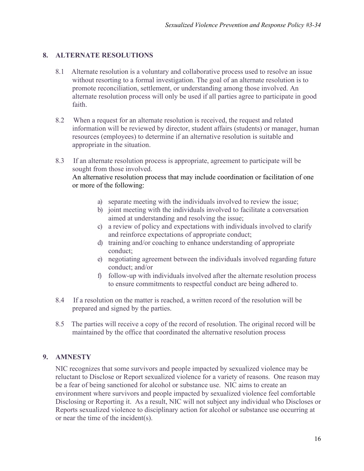### **8. ALTERNATE RESOLUTIONS**

- 8.1 Alternate resolution is a voluntary and collaborative process used to resolve an issue without resorting to a formal investigation. The goal of an alternate resolution is to promote reconciliation, settlement, or understanding among those involved. An alternate resolution process will only be used if all parties agree to participate in good faith.
- 8.2 When a request for an alternate resolution is received, the request and related information will be reviewed by director, student affairs (students) or manager, human resources (employees) to determine if an alternative resolution is suitable and appropriate in the situation.
- 8.3 If an alternate resolution process is appropriate, agreement to participate will be sought from those involved. An alternative resolution process that may include coordination or facilitation of one or more of the following:
	- a) separate meeting with the individuals involved to review the issue;
	- b) joint meeting with the individuals involved to facilitate a conversation aimed at understanding and resolving the issue;
	- c) a review of policy and expectations with individuals involved to clarify and reinforce expectations of appropriate conduct;
	- d) training and/or coaching to enhance understanding of appropriate conduct;
	- e) negotiating agreement between the individuals involved regarding future conduct; and/or
	- f) follow-up with individuals involved after the alternate resolution process to ensure commitments to respectful conduct are being adhered to.
- 8.4 If a resolution on the matter is reached, a written record of the resolution will be prepared and signed by the parties.
- 8.5 The parties will receive a copy of the record of resolution. The original record will be maintained by the office that coordinated the alternative resolution process

#### **9. AMNESTY**

NIC recognizes that some survivors and people impacted by sexualized violence may be reluctant to Disclose or Report sexualized violence for a variety of reasons. One reason may be a fear of being sanctioned for alcohol or substance use. NIC aims to create an environment where survivors and people impacted by sexualized violence feel comfortable Disclosing or Reporting it. As a result, NIC will not subject any individual who Discloses or Reports sexualized violence to disciplinary action for alcohol or substance use occurring at or near the time of the incident(s).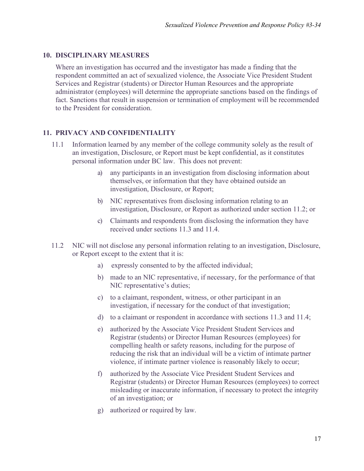#### **10. DISCIPLINARY MEASURES**

Where an investigation has occurred and the investigator has made a finding that the respondent committed an act of sexualized violence, the Associate Vice President Student Services and Registrar (students) or Director Human Resources and the appropriate administrator (employees) will determine the appropriate sanctions based on the findings of fact. Sanctions that result in suspension or termination of employment will be recommended to the President for consideration.

## **11. PRIVACY AND CONFIDENTIALITY**

- 11.1 Information learned by any member of the college community solely as the result of an investigation, Disclosure, or Report must be kept confidential, as it constitutes personal information under BC law. This does not prevent:
	- a) any participants in an investigation from disclosing information about themselves, or information that they have obtained outside an investigation, Disclosure, or Report;
	- b) NIC representatives from disclosing information relating to an investigation, Disclosure, or Report as authorized under section 11.2; or
	- c) Claimants and respondents from disclosing the information they have received under sections 11.3 and 11.4.
- 11.2 NIC will not disclose any personal information relating to an investigation, Disclosure, or Report except to the extent that it is:
	- a) expressly consented to by the affected individual;
	- b) made to an NIC representative, if necessary, for the performance of that NIC representative's duties;
	- c) to a claimant, respondent, witness, or other participant in an investigation, if necessary for the conduct of that investigation;
	- d) to a claimant or respondent in accordance with sections 11.3 and 11.4;
	- e) authorized by the Associate Vice President Student Services and Registrar (students) or Director Human Resources (employees) for compelling health or safety reasons, including for the purpose of reducing the risk that an individual will be a victim of intimate partner violence, if intimate partner violence is reasonably likely to occur;
	- f) authorized by the Associate Vice President Student Services and Registrar (students) or Director Human Resources (employees) to correct misleading or inaccurate information, if necessary to protect the integrity of an investigation; or
	- g) authorized or required by law.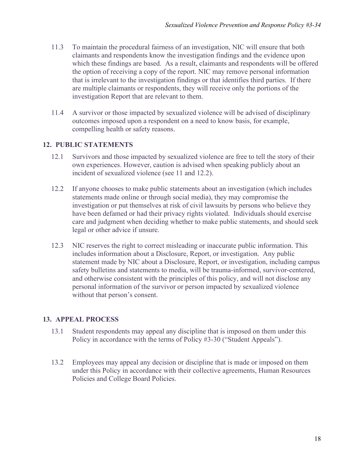- 11.3 To maintain the procedural fairness of an investigation, NIC will ensure that both claimants and respondents know the investigation findings and the evidence upon which these findings are based. As a result, claimants and respondents will be offered the option of receiving a copy of the report. NIC may remove personal information that is irrelevant to the investigation findings or that identifies third parties. If there are multiple claimants or respondents, they will receive only the portions of the investigation Report that are relevant to them.
- 11.4 A survivor or those impacted by sexualized violence will be advised of disciplinary outcomes imposed upon a respondent on a need to know basis, for example, compelling health or safety reasons.

#### **12. PUBLIC STATEMENTS**

- 12.1 Survivors and those impacted by sexualized violence are free to tell the story of their own experiences. However, caution is advised when speaking publicly about an incident of sexualized violence (see 11 and 12.2).
- 12.2 If anyone chooses to make public statements about an investigation (which includes statements made online or through social media), they may compromise the investigation or put themselves at risk of civil lawsuits by persons who believe they have been defamed or had their privacy rights violated. Individuals should exercise care and judgment when deciding whether to make public statements, and should seek legal or other advice if unsure.
- 12.3 NIC reserves the right to correct misleading or inaccurate public information. This includes information about a Disclosure, Report, or investigation. Any public statement made by NIC about a Disclosure, Report, or investigation, including campus safety bulletins and statements to media, will be trauma-informed, survivor-centered, and otherwise consistent with the principles of this policy, and will not disclose any personal information of the survivor or person impacted by sexualized violence without that person's consent.

## **13. APPEAL PROCESS**

- 13.1 Student respondents may appeal any discipline that is imposed on them under this Policy in accordance with the terms of Policy #3-30 ("Student Appeals").
- 13.2 Employees may appeal any decision or discipline that is made or imposed on them under this Policy in accordance with their collective agreements, Human Resources Policies and College Board Policies.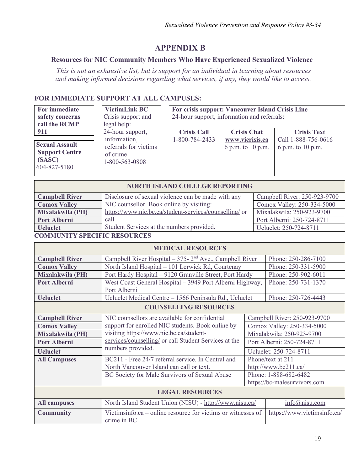# **APPENDIX B**

#### **Resources for NIC Community Members Who Have Experienced Sexualized Violence**

 *This is not an exhaustive list, but is support for an individual in learning about resources and making informed decisions regarding what services, if any, they would like to access.* 

## **FOR IMMEDIATE SUPPORT AT ALL CAMPUSES:**

| <b>For immediate</b> |  |  |
|----------------------|--|--|
| safety concerns      |  |  |
| call the RCMP        |  |  |
| 911                  |  |  |

**Support Centre (SASC)** 604-827-5180

**VictimLink BC** Crisis support and legal help: 24-hour support, information, of crime 1-800-563-0808

**For crisis support: Vancouver Island Crisis Line**  24-hour support, information and referrals:

|                                                | $1 - 2$                           |                    |                                            |                     |
|------------------------------------------------|-----------------------------------|--------------------|--------------------------------------------|---------------------|
| 911                                            | 24-hour support,                  | <b>Crisis Call</b> | <b>Crisis Chat</b>                         | <b>Crisis Text</b>  |
|                                                | information,                      | 1-800-784-2433     | www.vicrisis.ca                            | Call 1-888-756-0616 |
| <b>Sexual Assault</b><br><b>Support Centre</b> | referrals for victims<br>of crime |                    | 6 p.m. to 10 p.m. $\mid$ 6 p.m. to 10 p.m. |                     |
| (0.100)                                        |                                   |                    |                                            |                     |

| <b>NORTH ISLAND COLLEGE REPORTING</b> |                                                        |                              |  |  |  |
|---------------------------------------|--------------------------------------------------------|------------------------------|--|--|--|
| <b>Campbell River</b>                 | Disclosure of sexual violence can be made with any     | Campbell River: 250-923-9700 |  |  |  |
| <b>Comox Valley</b>                   | NIC counsellor. Book online by visiting:               | Comox Valley: 250-334-5000   |  |  |  |
| Mixalakwila (PH)                      | https://www.nic.bc.ca/student-services/counselling/ or | Mixalakwila: 250-923-9700    |  |  |  |
| <b>Port Alberni</b>                   | call                                                   | Port Alberni: 250-724-8711   |  |  |  |
| <b>U</b> cluelet                      | Student Services at the numbers provided.              | Ucluelet: 250-724-8711       |  |  |  |

#### **COMMUNITY SPECIFIC RESOURCES**

| <b>MEDICAL RESOURCES</b>     |                                                                                                            |                              |                               |  |  |
|------------------------------|------------------------------------------------------------------------------------------------------------|------------------------------|-------------------------------|--|--|
| <b>Campbell River</b>        | Campbell River Hospital $-375-2^{nd}$ Ave., Campbell River                                                 | Phone: 250-286-7100          |                               |  |  |
| <b>Comox Valley</b>          | North Island Hospital - 101 Lerwick Rd, Courtenay                                                          | Phone: 250-331-5900          |                               |  |  |
| Mixalakwila (PH)             | Port Hardy Hospital - 9120 Granville Street, Port Hardy                                                    | Phone: 250-902-6011          |                               |  |  |
| <b>Port Alberni</b>          | West Coast General Hospital - 3949 Port Alberni Highway,                                                   | Phone: 250-731-1370          |                               |  |  |
|                              | Port Alberni                                                                                               |                              |                               |  |  |
| <b>U</b> cluelet             | Ucluelet Medical Centre - 1566 Peninsula Rd., Ucluelet                                                     |                              | Phone: 250-726-4443           |  |  |
| <b>COUNSELLING RESOURCES</b> |                                                                                                            |                              |                               |  |  |
| <b>Campbell River</b>        | NIC counsellors are available for confidential                                                             |                              | Campbell River: 250-923-9700  |  |  |
| <b>Comox Valley</b>          | support for enrolled NIC students. Book online by                                                          | Comox Valley: 250-334-5000   |                               |  |  |
| Mixalakwila (PH)             | visiting https://www.nic.bc.ca/student-                                                                    | Mixalakwila: 250-923-9700    |                               |  |  |
| <b>Port Alberni</b>          | services/counselling/ or call Student Services at the<br>numbers provided.                                 |                              | Port Alberni: 250-724-8711    |  |  |
| <b>U</b> cluelet             |                                                                                                            |                              | Ucluelet: 250-724-8711        |  |  |
| <b>All Campuses</b>          | BC211 - Free 24/7 referral service. In Central and                                                         | Phone/text at 211            |                               |  |  |
|                              | North Vancouver Island can call or text.                                                                   | http://www.bc211.ca/         |                               |  |  |
|                              | BC Society for Male Survivors of Sexual Abuse                                                              | Phone: 1-888-682-6482        |                               |  |  |
|                              |                                                                                                            | https://bc-malesurvivors.com |                               |  |  |
| <b>LEGAL RESOURCES</b>       |                                                                                                            |                              |                               |  |  |
| <b>All campuses</b>          | North Island Student Union (NISU) - http://www.nisu.ca/                                                    |                              | $info(\hat{\omega})$ nisu.com |  |  |
| <b>Community</b>             | Victimsinfo.ca – online resource for victims or witnesses of<br>https://www.victimsinfo.ca/<br>crime in BC |                              |                               |  |  |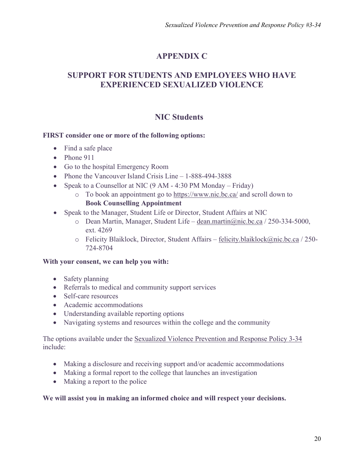# **APPENDIX C**

# **SUPPORT FOR STUDENTS AND EMPLOYEES WHO HAVE EXPERIENCED SEXUALIZED VIOLENCE**

# **NIC Students**

#### **FIRST consider one or more of the following options:**

- Find a safe place
- Phone 911
- Go to the hospital Emergency Room
- Phone the Vancouver Island Crisis Line 1-888-494-3888
- Speak to a Counsellor at NIC (9 AM 4:30 PM Monday Friday)
	- o To book an appointment go to<https://www.nic.bc.ca/> and scroll down to **Book Counselling Appointment**
- Speak to the Manager, Student Life or Director, Student Affairs at NIC
	- o Dean Martin, Manager, Student Life [dean.martin@nic.bc.ca](mailto:dean.martin@nic.bc.ca) / 250-334-5000, ext. 4269
	- o Felicity Blaiklock, Director, Student Affairs [felicity.blaiklock@nic.bc.ca](mailto:felicity.blaiklock@nic.bc.ca) / 250- 724-8704

#### **With your consent, we can help you with:**

- Safety planning
- Referrals to medical and community support services
- Self-care resources
- Academic accommodations
- Understanding available reporting options
- Navigating systems and resources within the college and the community

The options available under the [Sexualized Violence Prevention and Response Policy](http://camosun.ca/services/sexual-violence/policy.html) 3-34 include:

- Making a disclosure and receiving support and/or academic accommodations
- Making a formal report to the college that launches an investigation
- Making a report to the police

#### **We will assist you in making an informed choice and will respect your decisions.**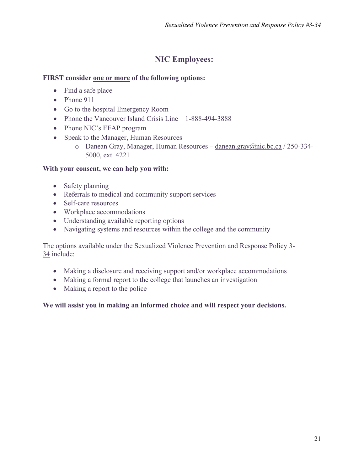# **NIC Employees:**

#### **FIRST consider one or more of the following options:**

- Find a safe place
- Phone 911
- Go to the hospital Emergency Room
- Phone the Vancouver Island Crisis Line 1-888-494-3888
- Phone NIC's EFAP program
- Speak to the Manager, Human Resources
	- o Danean Gray, Manager, Human Resources [danean.gray@nic.bc.ca](mailto:danean.gray@nic.bc.ca) / 250-334- 5000, ext. 4221

#### **With your consent, we can help you with:**

- Safety planning
- Referrals to medical and community support services
- Self-care resources
- Workplace accommodations
- Understanding available reporting options
- Navigating systems and resources within the college and the community

The options available under the [Sexualized Violence Prevention and Response Policy](http://camosun.ca/services/sexual-violence/policy.html) 3- 34 include:

- Making a disclosure and receiving support and/or workplace accommodations
- Making a formal report to the college that launches an investigation
- Making a report to the police

**We will assist you in making an informed choice and will respect your decisions.**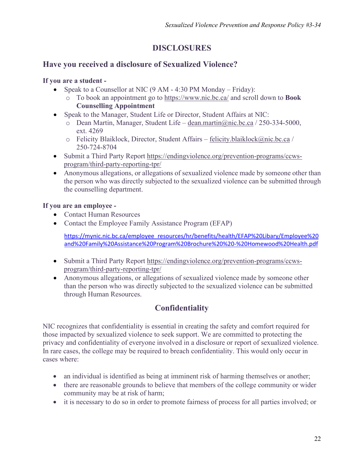# **DISCLOSURES**

# **Have you received a disclosure of Sexualized Violence?**

#### **If you are a student -**

- Speak to a Counsellor at NIC (9 AM 4:30 PM Monday Friday):
	- o To book an appointment go to<https://www.nic.bc.ca/> and scroll down to **Book Counselling Appointment**
- Speak to the Manager, Student Life or Director, Student Affairs at NIC:
	- o Dean Martin, Manager, Student Life [dean.martin@nic.bc.ca](mailto:dean.martin@nic.bc.ca) / 250-334-5000, ext. 4269
	- $\circ$  Felicity Blaiklock, Director, Student Affairs [felicity.blaiklock@nic.bc.ca](mailto:felicity.blaiklock@nic.bc.ca) / 250-724-8704
- Submit a Third Party Report [https://endingviolence.org/prevention-programs/ccws](https://endingviolence.org/prevention-programs/ccws-program/third-party-reporting-tpr/)[program/third-party-reporting-tpr/](https://endingviolence.org/prevention-programs/ccws-program/third-party-reporting-tpr/)
- Anonymous allegations, or allegations of sexualized violence made by someone other than the person who was directly subjected to the sexualized violence can be submitted through the counselling department.

#### **If you are an employee -**

- Contact Human Resources
- Contact the Employee Family Assistance Program (EFAP)

[https://mynic.nic.bc.ca/employee\\_resources/hr/benefits/health/EFAP%20Libary/Employee%20](https://mynic.nic.bc.ca/employee_resources/hr/benefits/health/EFAP%20Libary/Employee%20and%20Family%20Assistance%20Program%20Brochure%20%20-%20Homewood%20Health.pdf) [and%20Family%20Assistance%20Program%20Brochure%20%20-%20Homewood%20Health.pdf](https://mynic.nic.bc.ca/employee_resources/hr/benefits/health/EFAP%20Libary/Employee%20and%20Family%20Assistance%20Program%20Brochure%20%20-%20Homewood%20Health.pdf)

- Submit a Third Party Report [https://endingviolence.org/prevention-programs/ccws](https://endingviolence.org/prevention-programs/ccws-program/third-party-reporting-tpr/)[program/third-party-reporting-tpr/](https://endingviolence.org/prevention-programs/ccws-program/third-party-reporting-tpr/)
- Anonymous allegations, or allegations of sexualized violence made by someone other than the person who was directly subjected to the sexualized violence can be submitted through Human Resources.

# **Confidentiality**

NIC recognizes that confidentiality is essential in creating the safety and comfort required for those impacted by sexualized violence to seek support. We are committed to protecting the privacy and confidentiality of everyone involved in a disclosure or report of sexualized violence. In rare cases, the college may be required to breach confidentiality. This would only occur in cases where:

- an individual is identified as being at imminent risk of harming themselves or another;
- there are reasonable grounds to believe that members of the college community or wider community may be at risk of harm;
- it is necessary to do so in order to promote fairness of process for all parties involved; or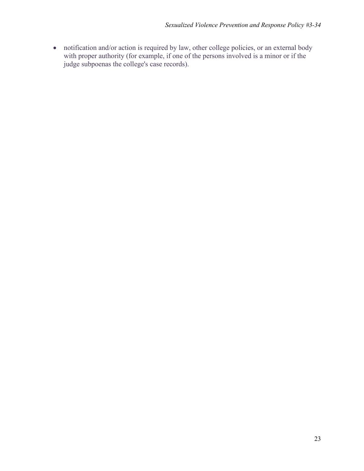• notification and/or action is required by law, other college policies, or an external body with proper authority (for example, if one of the persons involved is a minor or if the judge subpoenas the college's case records).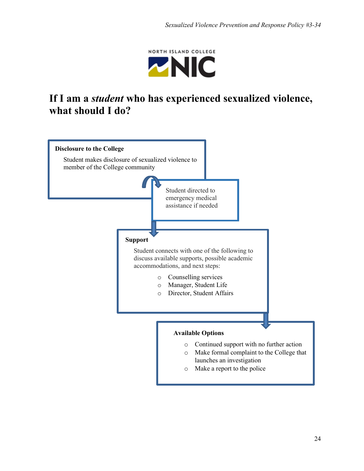NORTH ISLAND COLLEGE **ZNIC** 

# **If I am a** *student* **who has experienced sexualized violence, what should I do?**